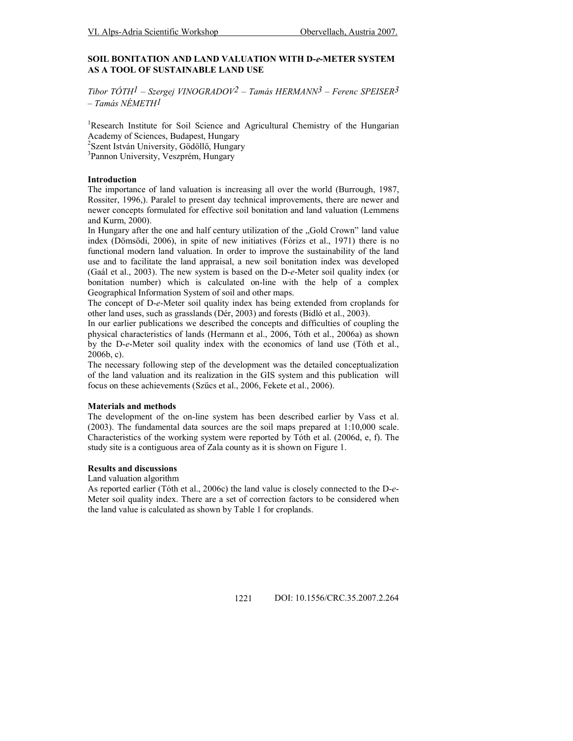## SOIL BONITATION AND LAND VALUATION WITH D-e-METER SYSTEM AS A TOOL OF SUSTAINABLE LAND USE

Tibor TÓTH<sup>1</sup> – Szergej VINOGRADOV<sup>2</sup> – Tamás HERMANN<sup>3</sup> – Ferenc SPEISER<sup>3</sup> – Tamás NÉMETH1

<sup>1</sup>Research Institute for Soil Science and Agricultural Chemistry of the Hungarian Academy of Sciences, Budapest, Hungary

<sup>2</sup>Szent István University, Gödöllő, Hungary

<sup>3</sup>Pannon University, Veszprém, Hungary

### Introduction

The importance of land valuation is increasing all over the world (Burrough, 1987, Rossiter, 1996,). Paralel to present day technical improvements, there are newer and newer concepts formulated for effective soil bonitation and land valuation (Lemmens and Kurm, 2000).

In Hungary after the one and half century utilization of the "Gold Crown" land value index (Dömsödi, 2006), in spite of new initiatives (Fórizs et al., 1971) there is no functional modern land valuation. In order to improve the sustainability of the land use and to facilitate the land appraisal, a new soil bonitation index was developed (Gaál et al., 2003). The new system is based on the D-e-Meter soil quality index (or bonitation number) which is calculated on-line with the help of a complex Geographical Information System of soil and other maps.

The concept of D-e-Meter soil quality index has being extended from croplands for other land uses, such as grasslands (Dér, 2003) and forests (Bidló et al., 2003).

In our earlier publications we described the concepts and difficulties of coupling the physical characteristics of lands (Hermann et al., 2006, Tóth et al., 2006a) as shown by the D-e-Meter soil quality index with the economics of land use (Tóth et al., 2006b, c).

The necessary following step of the development was the detailed conceptualization of the land valuation and its realization in the GIS system and this publication will focus on these achievements (Szőcs et al., 2006, Fekete et al., 2006).

#### Materials and methods

The development of the on-line system has been described earlier by Vass et al. (2003). The fundamental data sources are the soil maps prepared at 1:10,000 scale. Characteristics of the working system were reported by Tóth et al. (2006d, e, f). The study site is a contiguous area of Zala county as it is shown on Figure 1.

### Results and discussions

Land valuation algorithm

As reported earlier (Tóth et al., 2006c) the land value is closely connected to the D-e-Meter soil quality index. There are a set of correction factors to be considered when the land value is calculated as shown by Table 1 for croplands.

1221 DOI: 10.1556/CRC.35.2007.2.264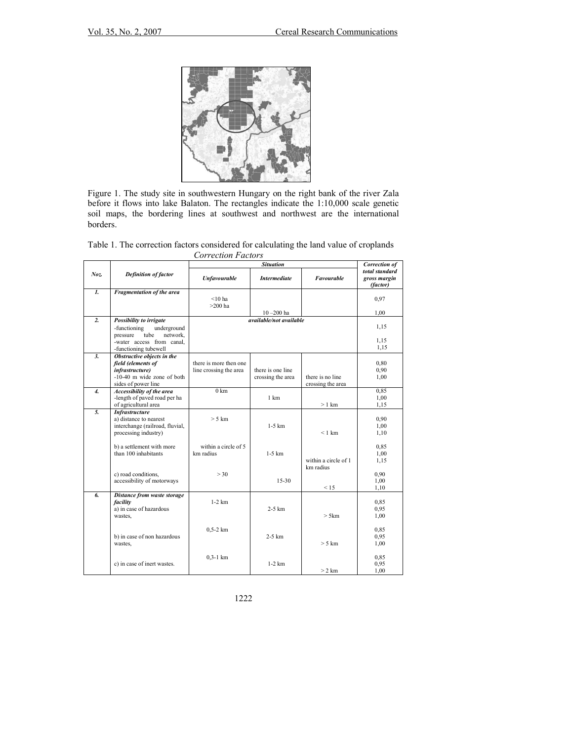

Figure 1. The study site in southwestern Hungary on the right bank of the river Zala before it flows into lake Balaton. The rectangles indicate the 1:10,000 scale genetic soil maps, the bordering lines at southwest and northwest are the international borders.

| Table 1. The correction factors considered for calculating the land value of croplands |
|----------------------------------------------------------------------------------------|
| Correction Factors                                                                     |

|                  |                                               | <b>Situation</b>        |                     |                      | <b>Correction of</b>                       |
|------------------|-----------------------------------------------|-------------------------|---------------------|----------------------|--------------------------------------------|
| Noz.             | <b>Definition of factor</b>                   | <b>Unfavourable</b>     | <b>Intermediate</b> | Favourable           | total standard<br>gross margin<br>(factor) |
| $\mathbf{I}$     | Fragmentation of the area                     |                         |                     |                      |                                            |
|                  |                                               | $< 10$ ha               |                     |                      | 0,97                                       |
|                  |                                               | $>200$ ha               |                     |                      |                                            |
|                  |                                               |                         | $10 - 200$ ha       |                      | 1,00                                       |
| $\overline{2}$ . | Possibility to irrigate                       | available/not available |                     |                      |                                            |
|                  | -functioning<br>underground                   |                         |                     |                      | 1,15                                       |
|                  | tube<br>network,<br>pressure                  |                         |                     |                      |                                            |
|                  | -water access from canal.                     |                         |                     |                      | 1,15                                       |
|                  | -functioning tubewell                         |                         |                     |                      | 1,15                                       |
| $\mathbf{3}$ .   | Obstructive objects in the                    |                         |                     |                      |                                            |
|                  | field (elements of                            | there is more then one  |                     |                      | 0.80                                       |
|                  | <i>infrastructure</i> )                       | line crossing the area  | there is one line   |                      | 0,90                                       |
|                  | $-10-40$ m wide zone of both                  |                         | crossing the area   | there is no line     | 1,00                                       |
|                  | sides of power line                           |                         |                     | crossing the area    |                                            |
| $\overline{4}$ . | Accessibility of the area                     | $0 \text{ km}$          | 1 km                |                      | 0,85                                       |
|                  | -length of paved road per ha                  |                         |                     | $>1$ km              | 1,00<br>1,15                               |
| 5.               | of agricultural area<br><b>Infrastructure</b> |                         |                     |                      |                                            |
|                  | a) distance to nearest                        | $> 5$ km                |                     |                      | 0,90                                       |
|                  | interchange (railroad, fluvial,               |                         | $1-5$ km            |                      | 1,00                                       |
|                  | processing industry)                          |                         |                     | $<$ 1 km             | 1,10                                       |
|                  |                                               |                         |                     |                      |                                            |
|                  | b) a settlement with more                     | within a circle of 5    |                     |                      | 0,85                                       |
|                  | than 100 inhabitants                          | km radius               | $1-5$ km            |                      | 1,00                                       |
|                  |                                               |                         |                     | within a circle of 1 | 1,15                                       |
|                  |                                               |                         |                     | km radius            |                                            |
|                  | c) road conditions,                           | > 30                    |                     |                      | 0,90                                       |
|                  | accessibility of motorways                    |                         | $15-30$             |                      | 1,00                                       |
|                  |                                               |                         |                     | < 15                 | 1,10                                       |
| 6.               | Distance from waste storage                   |                         |                     |                      |                                            |
|                  | facility                                      | $1-2$ km                |                     |                      | 0,85                                       |
|                  | a) in case of hazardous                       |                         | $2-5$ km            |                      | 0,95                                       |
|                  | wastes,                                       |                         |                     | > 5km                | 1,00                                       |
|                  |                                               |                         |                     |                      |                                            |
|                  |                                               | $0.5 - 2 km$            |                     |                      | 0,85                                       |
|                  | b) in case of non hazardous                   |                         | $2-5$ km            |                      | 0,95                                       |
|                  | wastes,                                       |                         |                     | $> 5$ km             | 1,00                                       |
|                  |                                               | $0.3 - 1$ km            |                     |                      | 0,85                                       |
|                  | c) in case of inert wastes.                   |                         | $1-2$ km            |                      | 0.95                                       |
|                  |                                               |                         |                     | $>2$ km              | 1,00                                       |

1222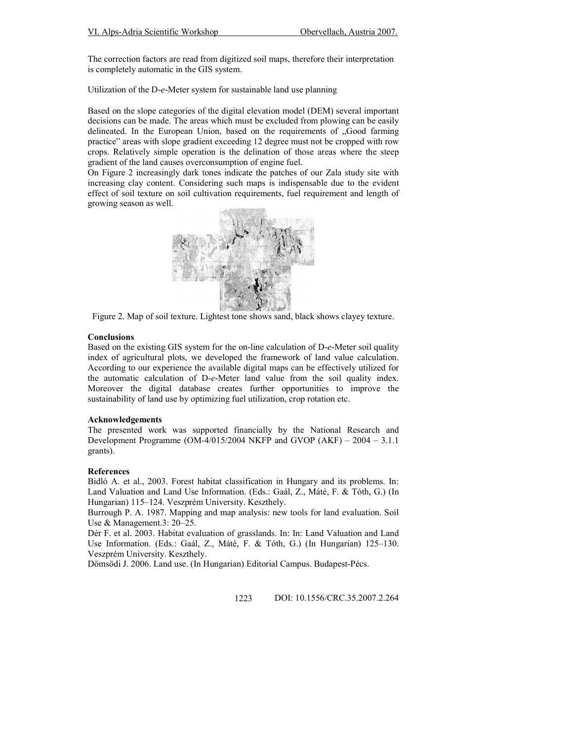The correction factors are read from digitized soil maps, therefore their interpretation is completely automatic in the GIS system.

Utilization of the D-e-Meter system for sustainable land use planning

Based on the slope categories of the digital elevation model (DEM) several important decisions can be made. The areas which must be excluded from plowing can be easily delineated. In the European Union, based on the requirements of "Good farming practice" areas with slope gradient exceeding 12 degree must not be cropped with row crops. Relatively simple operation is the delination of those areas where the steep gradient of the land causes overconsumption of engine fuel.

On Figure 2 increasingly dark tones indicate the patches of our Zala study site with increasing clay content. Considering such maps is indispensable due to the evident effect of soil texture on soil cultivation requirements, fuel requirement and length of growing season as well.



Figure 2. Map of soil texture. Lightest tone shows sand, black shows clayey texture.

#### **Conclusions**

Based on the existing GIS system for the on-line calculation of D-e-Meter soil quality index of agricultural plots, we developed the framework of land value calculation. According to our experience the available digital maps can be effectively utilized for the automatic calculation of D-e-Meter land value from the soil quality index. Moreover the digital database creates further opportunities to improve the sustainability of land use by optimizing fuel utilization, crop rotation etc.

# Acknowledgements

The presented work was supported financially by the National Research and Development Programme (OM-4/015/2004 NKFP and GVOP (AKF) – 2004 – 3.1.1 grants).

### References

Bidló A. et al., 2003. Forest habitat classification in Hungary and its problems. In: Land Valuation and Land Use Information. (Eds.: Gaál, Z., Máté, F. & Tóth, G.) (In Hungarian) 115–124. Veszprém University. Keszthely.

Burrough P. A. 1987. Mapping and map analysis: new tools for land evaluation. Soil Use & Management.3: 20–25.

Dér F. et al. 2003. Habitat evaluation of grasslands. In: In: Land Valuation and Land Use Information. (Eds.: Gaál, Z., Máté, F. & Tóth, G.) (In Hungarian) 125–130. Veszprém University. Keszthely.

Dömsödi J. 2006. Land use. (In Hungarian) Editorial Campus. Budapest-Pécs.

1223 DOI: 10.1556/CRC.35.2007.2.264